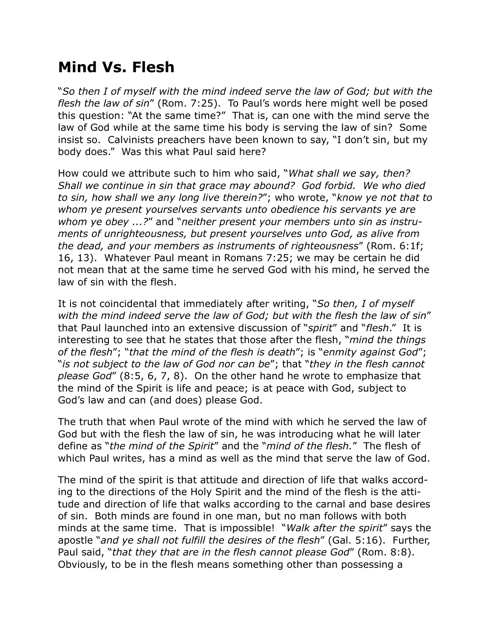## **Mind Vs. Flesh**

"*So then I of myself with the mind indeed serve the law of God; but with the flesh the law of sin*" (Rom. 7:25). To Paul's words here might well be posed this question: "At the same time?" That is, can one with the mind serve the law of God while at the same time his body is serving the law of sin? Some insist so. Calvinists preachers have been known to say, "I don't sin, but my body does." Was this what Paul said here?

How could we attribute such to him who said, "*What shall we say, then? Shall we continue in sin that grace may abound? God forbid. We who died to sin, how shall we any long live therein?*"; who wrote, "*know ye not that to whom ye present yourselves servants unto obedience his servants ye are whom ye obey ...?*" and "*neither present your members unto sin as instruments of unrighteousness, but present yourselves unto God, as alive from the dead, and your members as instruments of righteousness*" (Rom. 6:1f; 16, 13). Whatever Paul meant in Romans 7:25; we may be certain he did not mean that at the same time he served God with his mind, he served the law of sin with the flesh.

It is not coincidental that immediately after writing, "*So then, I of myself with the mind indeed serve the law of God; but with the flesh the law of sin*" that Paul launched into an extensive discussion of "*spirit*" and "*flesh*." It is interesting to see that he states that those after the flesh, "*mind the things of the flesh*"; "*that the mind of the flesh is death*"; is "*enmity against God*"; "*is not subject to the law of God nor can be*"; that "*they in the flesh cannot please God*" (8:5, 6, 7, 8). On the other hand he wrote to emphasize that the mind of the Spirit is life and peace; is at peace with God, subject to God's law and can (and does) please God.

The truth that when Paul wrote of the mind with which he served the law of God but with the flesh the law of sin, he was introducing what he will later define as "*the mind of the Spirit*" and the "*mind of the flesh.*" The flesh of which Paul writes, has a mind as well as the mind that serve the law of God.

The mind of the spirit is that attitude and direction of life that walks according to the directions of the Holy Spirit and the mind of the flesh is the attitude and direction of life that walks according to the carnal and base desires of sin. Both minds are found in one man, but no man follows with both minds at the same time. That is impossible! "*Walk after the spirit*" says the apostle "*and ye shall not fulfill the desires of the flesh*" (Gal. 5:16). Further, Paul said, "*that they that are in the flesh cannot please God*" (Rom. 8:8). Obviously, to be in the flesh means something other than possessing a